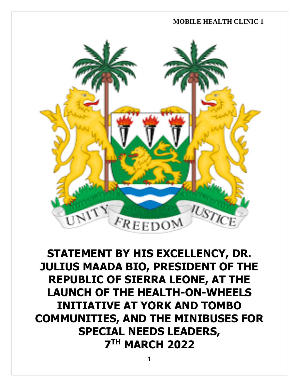

**STATEMENT BY HIS EXCELLENCY, DR. JULIUS MAADA BIO, PRESIDENT OF THE REPUBLIC OF SIERRA LEONE, AT THE LAUNCH OF THE HEALTH-ON-WHEELS INITIATIVE AT YORK AND TOMBO COMMUNITIES, AND THE MINIBUSES FOR SPECIAL NEEDS LEADERS, 7 TH MARCH 2022**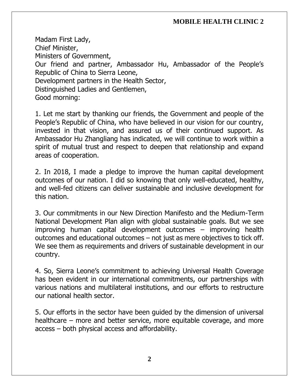Madam First Lady, Chief Minister, Ministers of Government, Our friend and partner, Ambassador Hu, Ambassador of the People's Republic of China to Sierra Leone, Development partners in the Health Sector, Distinguished Ladies and Gentlemen, Good morning:

1. Let me start by thanking our friends, the Government and people of the People's Republic of China, who have believed in our vision for our country, invested in that vision, and assured us of their continued support. As Ambassador Hu Zhangliang has indicated, we will continue to work within a spirit of mutual trust and respect to deepen that relationship and expand areas of cooperation.

2. In 2018, I made a pledge to improve the human capital development outcomes of our nation. I did so knowing that only well-educated, healthy, and well-fed citizens can deliver sustainable and inclusive development for this nation.

3. Our commitments in our New Direction Manifesto and the Medium-Term National Development Plan align with global sustainable goals. But we see improving human capital development outcomes – improving health outcomes and educational outcomes – not just as mere objectives to tick off. We see them as requirements and drivers of sustainable development in our country.

4. So, Sierra Leone's commitment to achieving Universal Health Coverage has been evident in our international commitments, our partnerships with various nations and multilateral institutions, and our efforts to restructure our national health sector.

5. Our efforts in the sector have been guided by the dimension of universal healthcare – more and better service, more equitable coverage, and more access – both physical access and affordability.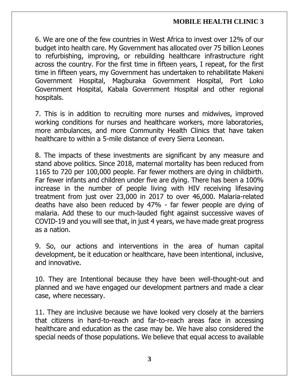6. We are one of the few countries in West Africa to invest over 12% of our budget into health care. My Government has allocated over 75 billion Leones to refurbishing, improving, or rebuilding healthcare infrastructure right across the country. For the first time in fifteen years, I repeat, for the first time in fifteen years, my Government has undertaken to rehabilitate Makeni Government Hospital, Magburaka Government Hospital, Port Loko Government Hospital, Kabala Government Hospital and other regional hospitals.

7. This is in addition to recruiting more nurses and midwives, improved working conditions for nurses and healthcare workers, more laboratories, more ambulances, and more Community Health Clinics that have taken healthcare to within a 5-mile distance of every Sierra Leonean.

8. The impacts of these investments are significant by any measure and stand above politics. Since 2018, maternal mortality has been reduced from 1165 to 720 per 100,000 people. Far fewer mothers are dying in childbirth. Far fewer infants and children under five are dying. There has been a 100% increase in the number of people living with HIV receiving lifesaving treatment from just over 23,000 in 2017 to over 46,000. Malaria-related deaths have also been reduced by 47% - far fewer people are dying of malaria. Add these to our much-lauded fight against successive waves of COVID-19 and you will see that, in just 4 years, we have made great progress as a nation.

9. So, our actions and interventions in the area of human capital development, be it education or healthcare, have been intentional, inclusive, and innovative.

10. They are Intentional because they have been well-thought-out and planned and we have engaged our development partners and made a clear case, where necessary.

11. They are inclusive because we have looked very closely at the barriers that citizens in hard-to-reach and far-to-reach areas face in accessing healthcare and education as the case may be. We have also considered the special needs of those populations. We believe that equal access to available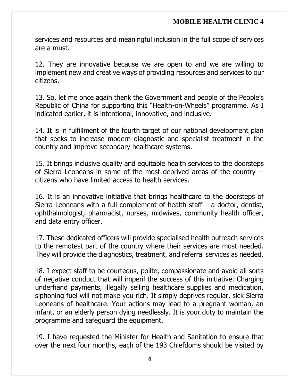services and resources and meaningful inclusion in the full scope of services are a must.

12. They are innovative because we are open to and we are willing to implement new and creative ways of providing resources and services to our citizens.

13. So, let me once again thank the Government and people of the People's Republic of China for supporting this "Health-on-Wheels" programme. As I indicated earlier, it is intentional, innovative, and inclusive.

14. It is in fulfillment of the fourth target of our national development plan that seeks to increase modern diagnostic and specialist treatment in the country and improve secondary healthcare systems.

15. It brings inclusive quality and equitable health services to the doorsteps of Sierra Leoneans in some of the most deprived areas of the country - citizens who have limited access to health services.

16. It is an innovative initiative that brings healthcare to the doorsteps of Sierra Leoneans with a full complement of health staff – a doctor, dentist, ophthalmologist, pharmacist, nurses, midwives, community health officer, and data entry officer.

17. These dedicated officers will provide specialised health outreach services to the remotest part of the country where their services are most needed. They will provide the diagnostics, treatment, and referral services as needed.

18. I expect staff to be courteous, polite, compassionate and avoid all sorts of negative conduct that will imperil the success of this initiative. Charging underhand payments, illegally selling healthcare supplies and medication, siphoning fuel will not make you rich. It simply deprives regular, sick Sierra Leoneans of healthcare. Your actions may lead to a pregnant woman, an infant, or an elderly person dying needlessly. It is your duty to maintain the programme and safeguard the equipment.

19. I have requested the Minister for Health and Sanitation to ensure that over the next four months, each of the 193 Chiefdoms should be visited by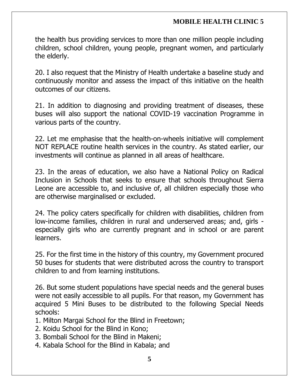the health bus providing services to more than one million people including children, school children, young people, pregnant women, and particularly the elderly.

20. I also request that the Ministry of Health undertake a baseline study and continuously monitor and assess the impact of this initiative on the health outcomes of our citizens.

21. In addition to diagnosing and providing treatment of diseases, these buses will also support the national COVID-19 vaccination Programme in various parts of the country.

22. Let me emphasise that the health-on-wheels initiative will complement NOT REPLACE routine health services in the country. As stated earlier, our investments will continue as planned in all areas of healthcare.

23. In the areas of education, we also have a National Policy on Radical Inclusion in Schools that seeks to ensure that schools throughout Sierra Leone are accessible to, and inclusive of, all children especially those who are otherwise marginalised or excluded.

24. The policy caters specifically for children with disabilities, children from low-income families, children in rural and underserved areas; and, girls especially girls who are currently pregnant and in school or are parent learners.

25. For the first time in the history of this country, my Government procured 50 buses for students that were distributed across the country to transport children to and from learning institutions.

26. But some student populations have special needs and the general buses were not easily accessible to all pupils. For that reason, my Government has acquired 5 Mini Buses to be distributed to the following Special Needs schools:

- 1. Milton Margai School for the Blind in Freetown;
- 2. Koidu School for the Blind in Kono;
- 3. Bombali School for the Blind in Makeni;
- 4. Kabala School for the Blind in Kabala; and